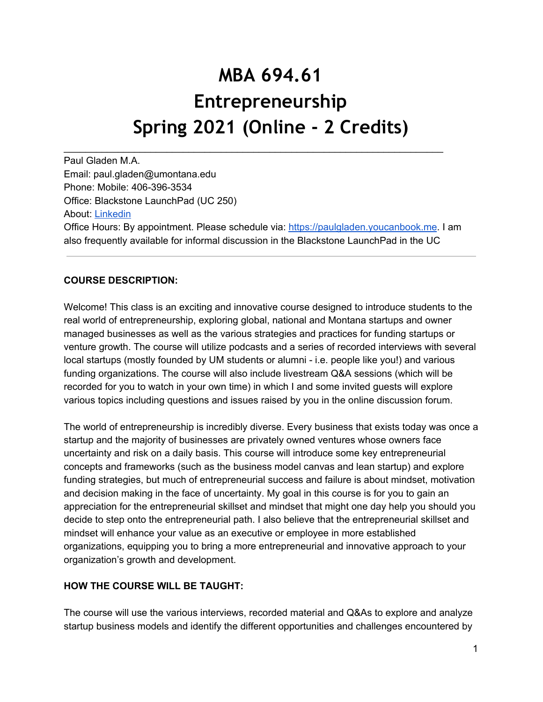# **MBA 694.61 Entrepreneurship Spring 2021 (Online - 2 Credits)**

Paul Gladen M.A. Email: paul.gladen@umontana.edu Phone: Mobile: 406-396-3534 Office: Blackstone LaunchPad (UC 250) About: [Linkedin](http://www.linkedin.com/in/paulgladen) Office Hours: By appointment. Please schedule via: [https://paulgladen.youcanbook.me](https://paulgladen.youcanbook.me/). I am also frequently available for informal discussion in the Blackstone LaunchPad in the UC

\_\_\_\_\_\_\_\_\_\_\_\_\_\_\_\_\_\_\_\_\_\_\_\_\_\_\_\_\_\_\_\_\_\_\_\_\_\_\_\_\_\_\_\_\_\_\_\_\_\_\_\_\_\_\_\_\_\_\_\_\_\_\_\_\_\_\_\_\_\_

# **COURSE DESCRIPTION:**

Welcome! This class is an exciting and innovative course designed to introduce students to the real world of entrepreneurship, exploring global, national and Montana startups and owner managed businesses as well as the various strategies and practices for funding startups or venture growth. The course will utilize podcasts and a series of recorded interviews with several local startups (mostly founded by UM students or alumni - i.e. people like you!) and various funding organizations. The course will also include livestream Q&A sessions (which will be recorded for you to watch in your own time) in which I and some invited guests will explore various topics including questions and issues raised by you in the online discussion forum.

The world of entrepreneurship is incredibly diverse. Every business that exists today was once a startup and the majority of businesses are privately owned ventures whose owners face uncertainty and risk on a daily basis. This course will introduce some key entrepreneurial concepts and frameworks (such as the business model canvas and lean startup) and explore funding strategies, but much of entrepreneurial success and failure is about mindset, motivation and decision making in the face of uncertainty. My goal in this course is for you to gain an appreciation for the entrepreneurial skillset and mindset that might one day help you should you decide to step onto the entrepreneurial path. I also believe that the entrepreneurial skillset and mindset will enhance your value as an executive or employee in more established organizations, equipping you to bring a more entrepreneurial and innovative approach to your organization's growth and development.

#### **HOW THE COURSE WILL BE TAUGHT:**

The course will use the various interviews, recorded material and Q&As to explore and analyze startup business models and identify the different opportunities and challenges encountered by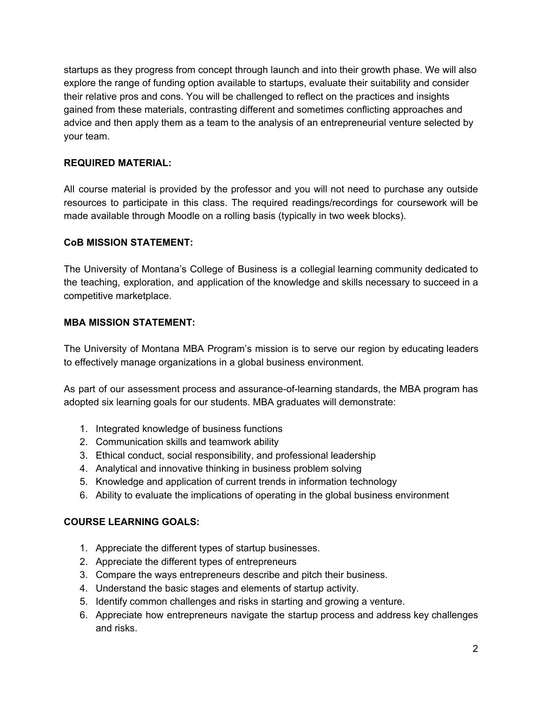startups as they progress from concept through launch and into their growth phase. We will also explore the range of funding option available to startups, evaluate their suitability and consider their relative pros and cons. You will be challenged to reflect on the practices and insights gained from these materials, contrasting different and sometimes conflicting approaches and advice and then apply them as a team to the analysis of an entrepreneurial venture selected by your team.

## **REQUIRED MATERIAL:**

All course material is provided by the professor and you will not need to purchase any outside resources to participate in this class. The required readings/recordings for coursework will be made available through Moodle on a rolling basis (typically in two week blocks).

### **CoB MISSION STATEMENT:**

The University of Montana's College of Business is a collegial learning community dedicated to the teaching, exploration, and application of the knowledge and skills necessary to succeed in a competitive marketplace.

#### **MBA MISSION STATEMENT:**

The University of Montana MBA Program's mission is to serve our region by educating leaders to effectively manage organizations in a global business environment.

As part of our assessment process and assurance-of-learning standards, the MBA program has adopted six learning goals for our students. MBA graduates will demonstrate:

- 1. Integrated knowledge of business functions
- 2. Communication skills and teamwork ability
- 3. Ethical conduct, social responsibility, and professional leadership
- 4. Analytical and innovative thinking in business problem solving
- 5. Knowledge and application of current trends in information technology
- 6. Ability to evaluate the implications of operating in the global business environment

# **COURSE LEARNING GOALS:**

- 1. Appreciate the different types of startup businesses.
- 2. Appreciate the different types of entrepreneurs
- 3. Compare the ways entrepreneurs describe and pitch their business.
- 4. Understand the basic stages and elements of startup activity.
- 5. Identify common challenges and risks in starting and growing a venture.
- 6. Appreciate how entrepreneurs navigate the startup process and address key challenges and risks.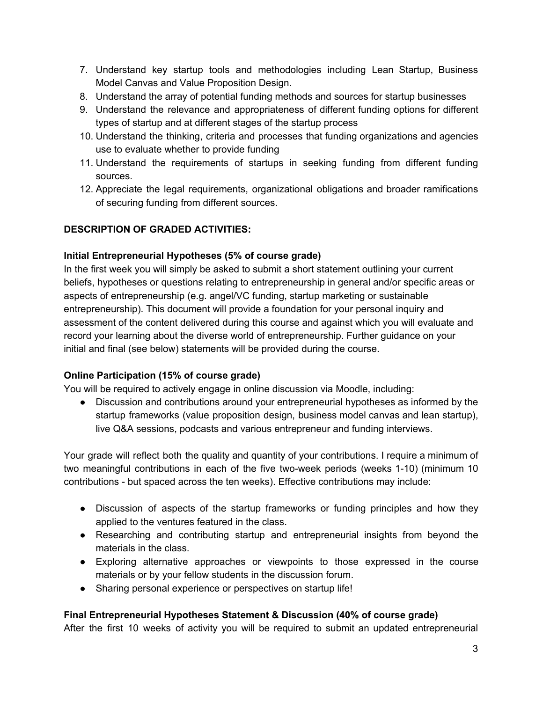- 7. Understand key startup tools and methodologies including Lean Startup, Business Model Canvas and Value Proposition Design.
- 8. Understand the array of potential funding methods and sources for startup businesses
- 9. Understand the relevance and appropriateness of different funding options for different types of startup and at different stages of the startup process
- 10. Understand the thinking, criteria and processes that funding organizations and agencies use to evaluate whether to provide funding
- 11. Understand the requirements of startups in seeking funding from different funding sources.
- 12. Appreciate the legal requirements, organizational obligations and broader ramifications of securing funding from different sources.

# **DESCRIPTION OF GRADED ACTIVITIES:**

# **Initial Entrepreneurial Hypotheses (5% of course grade)**

In the first week you will simply be asked to submit a short statement outlining your current beliefs, hypotheses or questions relating to entrepreneurship in general and/or specific areas or aspects of entrepreneurship (e.g. angel/VC funding, startup marketing or sustainable entrepreneurship). This document will provide a foundation for your personal inquiry and assessment of the content delivered during this course and against which you will evaluate and record your learning about the diverse world of entrepreneurship. Further guidance on your initial and final (see below) statements will be provided during the course.

# **Online Participation (15% of course grade)**

You will be required to actively engage in online discussion via Moodle, including:

● Discussion and contributions around your entrepreneurial hypotheses as informed by the startup frameworks (value proposition design, business model canvas and lean startup), live Q&A sessions, podcasts and various entrepreneur and funding interviews.

Your grade will reflect both the quality and quantity of your contributions. I require a minimum of two meaningful contributions in each of the five two-week periods (weeks 1-10) (minimum 10 contributions - but spaced across the ten weeks). Effective contributions may include:

- Discussion of aspects of the startup frameworks or funding principles and how they applied to the ventures featured in the class.
- Researching and contributing startup and entrepreneurial insights from beyond the materials in the class.
- Exploring alternative approaches or viewpoints to those expressed in the course materials or by your fellow students in the discussion forum.
- Sharing personal experience or perspectives on startup life!

# **Final Entrepreneurial Hypotheses Statement & Discussion (40% of course grade)**

After the first 10 weeks of activity you will be required to submit an updated entrepreneurial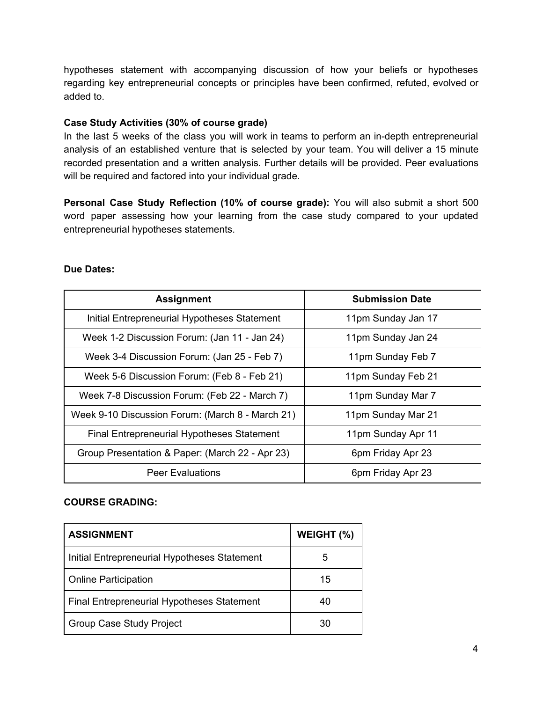hypotheses statement with accompanying discussion of how your beliefs or hypotheses regarding key entrepreneurial concepts or principles have been confirmed, refuted, evolved or added to.

### **Case Study Activities (30% of course grade)**

In the last 5 weeks of the class you will work in teams to perform an in-depth entrepreneurial analysis of an established venture that is selected by your team. You will deliver a 15 minute recorded presentation and a written analysis. Further details will be provided. Peer evaluations will be required and factored into your individual grade.

**Personal Case Study Reflection (10% of course grade):** You will also submit a short 500 word paper assessing how your learning from the case study compared to your updated entrepreneurial hypotheses statements.

#### **Due Dates:**

| <b>Assignment</b>                                | <b>Submission Date</b> |
|--------------------------------------------------|------------------------|
| Initial Entrepreneurial Hypotheses Statement     | 11pm Sunday Jan 17     |
| Week 1-2 Discussion Forum: (Jan 11 - Jan 24)     | 11pm Sunday Jan 24     |
| Week 3-4 Discussion Forum: (Jan 25 - Feb 7)      | 11pm Sunday Feb 7      |
| Week 5-6 Discussion Forum: (Feb 8 - Feb 21)      | 11pm Sunday Feb 21     |
| Week 7-8 Discussion Forum: (Feb 22 - March 7)    | 11pm Sunday Mar 7      |
| Week 9-10 Discussion Forum: (March 8 - March 21) | 11pm Sunday Mar 21     |
| Final Entrepreneurial Hypotheses Statement       | 11pm Sunday Apr 11     |
| Group Presentation & Paper: (March 22 - Apr 23)  | 6pm Friday Apr 23      |
| <b>Peer Evaluations</b>                          | 6pm Friday Apr 23      |

#### **COURSE GRADING:**

| <b>ASSIGNMENT</b>                            | WEIGHT (%) |
|----------------------------------------------|------------|
| Initial Entrepreneurial Hypotheses Statement | 5          |
| <b>Online Participation</b>                  | 15         |
| Final Entrepreneurial Hypotheses Statement   | 40         |
| <b>Group Case Study Project</b>              | 30         |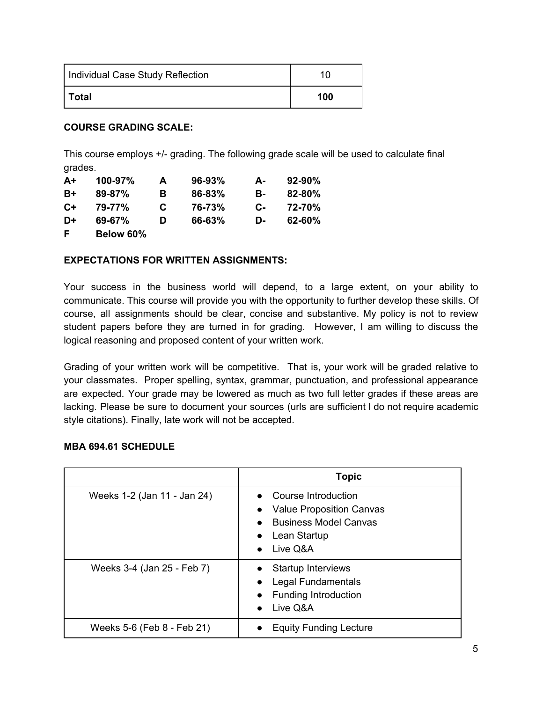| Individual Case Study Reflection | 10  |
|----------------------------------|-----|
| Total                            | 100 |

### **COURSE GRADING SCALE:**

This course employs +/- grading. The following grade scale will be used to calculate final grades.

| $A+$ | 100-97%    | A | $96 - 93%$ | А-   | $92 - 90%$ |
|------|------------|---|------------|------|------------|
| B+   | $89 - 87%$ | в | 86-83%     | в-   | $82 - 80%$ |
| $C+$ | 79-77%     | C | 76-73%     | $C-$ | 72-70%     |
| D+   | 69-67%     | D | 66-63%     | D-   | 62-60%     |
| E    | Below 60%  |   |            |      |            |

### **EXPECTATIONS FOR WRITTEN ASSIGNMENTS:**

Your success in the business world will depend, to a large extent, on your ability to communicate. This course will provide you with the opportunity to further develop these skills. Of course, all assignments should be clear, concise and substantive. My policy is not to review student papers before they are turned in for grading. However, I am willing to discuss the logical reasoning and proposed content of your written work.

Grading of your written work will be competitive. That is, your work will be graded relative to your classmates. Proper spelling, syntax, grammar, punctuation, and professional appearance are expected. Your grade may be lowered as much as two full letter grades if these areas are lacking. Please be sure to document your sources (urls are sufficient I do not require academic style citations). Finally, late work will not be accepted.

|                             | <b>Topic</b>                                                                                                                                                                  |
|-----------------------------|-------------------------------------------------------------------------------------------------------------------------------------------------------------------------------|
| Weeks 1-2 (Jan 11 - Jan 24) | <b>Course Introduction</b><br><b>Value Proposition Canvas</b><br>$\bullet$<br><b>Business Model Canvas</b><br>$\bullet$<br>Lean Startup<br>$\bullet$<br>Live Q&A<br>$\bullet$ |
| Weeks 3-4 (Jan 25 - Feb 7)  | <b>Startup Interviews</b><br>Legal Fundamentals<br><b>Funding Introduction</b><br>$\bullet$<br>Live Q&A<br>$\bullet$                                                          |
| Weeks 5-6 (Feb 8 - Feb 21)  | <b>Equity Funding Lecture</b>                                                                                                                                                 |

# **MBA 694.61 SCHEDULE**